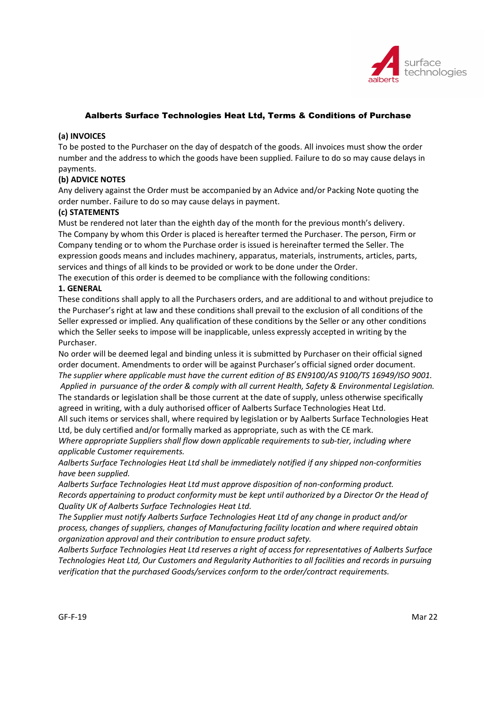

# Aalberts Surface Technologies Heat Ltd, Terms & Conditions of Purchase

#### (a) INVOICES

To be posted to the Purchaser on the day of despatch of the goods. All invoices must show the order number and the address to which the goods have been supplied. Failure to do so may cause delays in payments.

# (b) ADVICE NOTES

Any delivery against the Order must be accompanied by an Advice and/or Packing Note quoting the order number. Failure to do so may cause delays in payment.

### (c) STATEMENTS

Must be rendered not later than the eighth day of the month for the previous month's delivery. The Company by whom this Order is placed is hereafter termed the Purchaser. The person, Firm or Company tending or to whom the Purchase order is issued is hereinafter termed the Seller. The expression goods means and includes machinery, apparatus, materials, instruments, articles, parts, services and things of all kinds to be provided or work to be done under the Order.

The execution of this order is deemed to be compliance with the following conditions:

### 1. GENERAL

These conditions shall apply to all the Purchasers orders, and are additional to and without prejudice to the Purchaser's right at law and these conditions shall prevail to the exclusion of all conditions of the Seller expressed or implied. Any qualification of these conditions by the Seller or any other conditions which the Seller seeks to impose will be inapplicable, unless expressly accepted in writing by the Purchaser.

No order will be deemed legal and binding unless it is submitted by Purchaser on their official signed order document. Amendments to order will be against Purchaser's official signed order document. The supplier where applicable must have the current edition of BS EN9100/AS 9100/TS 16949/ISO 9001. Applied in pursuance of the order & comply with all current Health, Safety & Environmental Legislation. The standards or legislation shall be those current at the date of supply, unless otherwise specifically agreed in writing, with a duly authorised officer of Aalberts Surface Technologies Heat Ltd.

All such items or services shall, where required by legislation or by Aalberts Surface Technologies Heat Ltd, be duly certified and/or formally marked as appropriate, such as with the CE mark.

Where appropriate Suppliers shall flow down applicable requirements to sub-tier, including where applicable Customer requirements.

Aalberts Surface Technologies Heat Ltd shall be immediately notified if any shipped non-conformities have been supplied.

Aalberts Surface Technologies Heat Ltd must approve disposition of non-conforming product. Records appertaining to product conformity must be kept until authorized by a Director Or the Head of Quality UK of Aalberts Surface Technologies Heat Ltd.

The Supplier must notify Aalberts Surface Technologies Heat Ltd of any change in product and/or process, changes of suppliers, changes of Manufacturing facility location and where required obtain organization approval and their contribution to ensure product safety.

Aalberts Surface Technologies Heat Ltd reserves a right of access for representatives of Aalberts Surface Technologies Heat Ltd, Our Customers and Regularity Authorities to all facilities and records in pursuing verification that the purchased Goods/services conform to the order/contract requirements.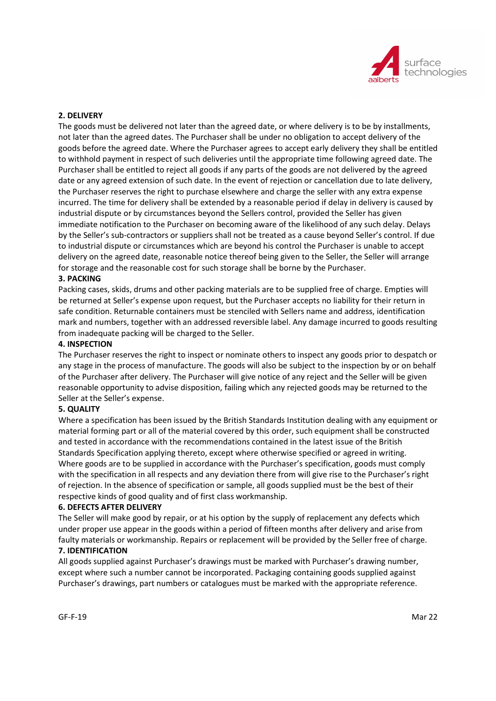

## 2. DELIVERY

The goods must be delivered not later than the agreed date, or where delivery is to be by installments, not later than the agreed dates. The Purchaser shall be under no obligation to accept delivery of the goods before the agreed date. Where the Purchaser agrees to accept early delivery they shall be entitled to withhold payment in respect of such deliveries until the appropriate time following agreed date. The Purchaser shall be entitled to reject all goods if any parts of the goods are not delivered by the agreed date or any agreed extension of such date. In the event of rejection or cancellation due to late delivery, the Purchaser reserves the right to purchase elsewhere and charge the seller with any extra expense incurred. The time for delivery shall be extended by a reasonable period if delay in delivery is caused by industrial dispute or by circumstances beyond the Sellers control, provided the Seller has given immediate notification to the Purchaser on becoming aware of the likelihood of any such delay. Delays by the Seller's sub-contractors or suppliers shall not be treated as a cause beyond Seller's control. If due to industrial dispute or circumstances which are beyond his control the Purchaser is unable to accept delivery on the agreed date, reasonable notice thereof being given to the Seller, the Seller will arrange for storage and the reasonable cost for such storage shall be borne by the Purchaser.

# 3. PACKING

Packing cases, skids, drums and other packing materials are to be supplied free of charge. Empties will be returned at Seller's expense upon request, but the Purchaser accepts no liability for their return in safe condition. Returnable containers must be stenciled with Sellers name and address, identification mark and numbers, together with an addressed reversible label. Any damage incurred to goods resulting from inadequate packing will be charged to the Seller.

#### 4. INSPECTION

The Purchaser reserves the right to inspect or nominate others to inspect any goods prior to despatch or any stage in the process of manufacture. The goods will also be subject to the inspection by or on behalf of the Purchaser after delivery. The Purchaser will give notice of any reject and the Seller will be given reasonable opportunity to advise disposition, failing which any rejected goods may be returned to the Seller at the Seller's expense.

#### 5. QUALITY

Where a specification has been issued by the British Standards Institution dealing with any equipment or material forming part or all of the material covered by this order, such equipment shall be constructed and tested in accordance with the recommendations contained in the latest issue of the British Standards Specification applying thereto, except where otherwise specified or agreed in writing. Where goods are to be supplied in accordance with the Purchaser's specification, goods must comply with the specification in all respects and any deviation there from will give rise to the Purchaser's right of rejection. In the absence of specification or sample, all goods supplied must be the best of their respective kinds of good quality and of first class workmanship.

### 6. DEFECTS AFTER DELIVERY

The Seller will make good by repair, or at his option by the supply of replacement any defects which under proper use appear in the goods within a period of fifteen months after delivery and arise from faulty materials or workmanship. Repairs or replacement will be provided by the Seller free of charge.

#### 7. IDENTIFICATION

All goods supplied against Purchaser's drawings must be marked with Purchaser's drawing number, except where such a number cannot be incorporated. Packaging containing goods supplied against Purchaser's drawings, part numbers or catalogues must be marked with the appropriate reference.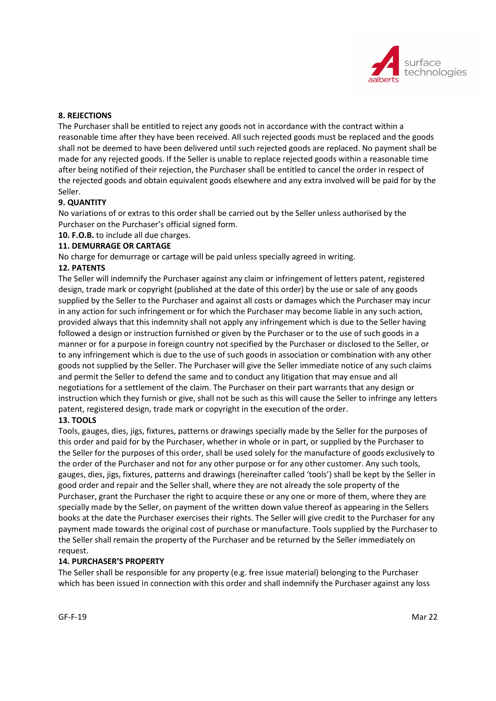

## 8. REJECTIONS

The Purchaser shall be entitled to reject any goods not in accordance with the contract within a reasonable time after they have been received. All such rejected goods must be replaced and the goods shall not be deemed to have been delivered until such rejected goods are replaced. No payment shall be made for any rejected goods. If the Seller is unable to replace rejected goods within a reasonable time after being notified of their rejection, the Purchaser shall be entitled to cancel the order in respect of the rejected goods and obtain equivalent goods elsewhere and any extra involved will be paid for by the Seller.

### 9. QUANTITY

No variations of or extras to this order shall be carried out by the Seller unless authorised by the Purchaser on the Purchaser's official signed form.

10. F.O.B. to include all due charges.

## 11. DEMURRAGE OR CARTAGE

No charge for demurrage or cartage will be paid unless specially agreed in writing.

### 12. PATENTS

The Seller will indemnify the Purchaser against any claim or infringement of letters patent, registered design, trade mark or copyright (published at the date of this order) by the use or sale of any goods supplied by the Seller to the Purchaser and against all costs or damages which the Purchaser may incur in any action for such infringement or for which the Purchaser may become liable in any such action, provided always that this indemnity shall not apply any infringement which is due to the Seller having followed a design or instruction furnished or given by the Purchaser or to the use of such goods in a manner or for a purpose in foreign country not specified by the Purchaser or disclosed to the Seller, or to any infringement which is due to the use of such goods in association or combination with any other goods not supplied by the Seller. The Purchaser will give the Seller immediate notice of any such claims and permit the Seller to defend the same and to conduct any litigation that may ensue and all negotiations for a settlement of the claim. The Purchaser on their part warrants that any design or instruction which they furnish or give, shall not be such as this will cause the Seller to infringe any letters patent, registered design, trade mark or copyright in the execution of the order.

#### 13. TOOLS

Tools, gauges, dies, jigs, fixtures, patterns or drawings specially made by the Seller for the purposes of this order and paid for by the Purchaser, whether in whole or in part, or supplied by the Purchaser to the Seller for the purposes of this order, shall be used solely for the manufacture of goods exclusively to the order of the Purchaser and not for any other purpose or for any other customer. Any such tools, gauges, dies, jigs, fixtures, patterns and drawings (hereinafter called 'tools') shall be kept by the Seller in good order and repair and the Seller shall, where they are not already the sole property of the Purchaser, grant the Purchaser the right to acquire these or any one or more of them, where they are specially made by the Seller, on payment of the written down value thereof as appearing in the Sellers books at the date the Purchaser exercises their rights. The Seller will give credit to the Purchaser for any payment made towards the original cost of purchase or manufacture. Tools supplied by the Purchaser to the Seller shall remain the property of the Purchaser and be returned by the Seller immediately on request.

# 14. PURCHASER'S PROPERTY

The Seller shall be responsible for any property (e.g. free issue material) belonging to the Purchaser which has been issued in connection with this order and shall indemnify the Purchaser against any loss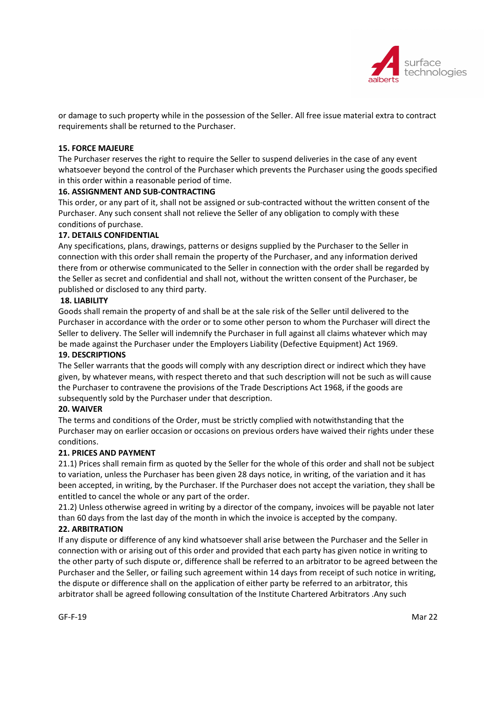

or damage to such property while in the possession of the Seller. All free issue material extra to contract requirements shall be returned to the Purchaser.

# 15. FORCE MAJEURE

The Purchaser reserves the right to require the Seller to suspend deliveries in the case of any event whatsoever beyond the control of the Purchaser which prevents the Purchaser using the goods specified in this order within a reasonable period of time.

# 16. ASSIGNMENT AND SUB-CONTRACTING

This order, or any part of it, shall not be assigned or sub-contracted without the written consent of the Purchaser. Any such consent shall not relieve the Seller of any obligation to comply with these conditions of purchase.

# 17. DETAILS CONFIDENTIAL

Any specifications, plans, drawings, patterns or designs supplied by the Purchaser to the Seller in connection with this order shall remain the property of the Purchaser, and any information derived there from or otherwise communicated to the Seller in connection with the order shall be regarded by the Seller as secret and confidential and shall not, without the written consent of the Purchaser, be published or disclosed to any third party.

# 18. LIABILITY

Goods shall remain the property of and shall be at the sale risk of the Seller until delivered to the Purchaser in accordance with the order or to some other person to whom the Purchaser will direct the Seller to delivery. The Seller will indemnify the Purchaser in full against all claims whatever which may be made against the Purchaser under the Employers Liability (Defective Equipment) Act 1969.

## 19. DESCRIPTIONS

The Seller warrants that the goods will comply with any description direct or indirect which they have given, by whatever means, with respect thereto and that such description will not be such as will cause the Purchaser to contravene the provisions of the Trade Descriptions Act 1968, if the goods are subsequently sold by the Purchaser under that description.

# 20. WAIVER

The terms and conditions of the Order, must be strictly complied with notwithstanding that the Purchaser may on earlier occasion or occasions on previous orders have waived their rights under these conditions.

# 21. PRICES AND PAYMENT

21.1) Prices shall remain firm as quoted by the Seller for the whole of this order and shall not be subject to variation, unless the Purchaser has been given 28 days notice, in writing, of the variation and it has been accepted, in writing, by the Purchaser. If the Purchaser does not accept the variation, they shall be entitled to cancel the whole or any part of the order.

21.2) Unless otherwise agreed in writing by a director of the company, invoices will be payable not later than 60 days from the last day of the month in which the invoice is accepted by the company.

# 22. ARBITRATION

If any dispute or difference of any kind whatsoever shall arise between the Purchaser and the Seller in connection with or arising out of this order and provided that each party has given notice in writing to the other party of such dispute or, difference shall be referred to an arbitrator to be agreed between the Purchaser and the Seller, or failing such agreement within 14 days from receipt of such notice in writing, the dispute or difference shall on the application of either party be referred to an arbitrator, this arbitrator shall be agreed following consultation of the Institute Chartered Arbitrators .Any such